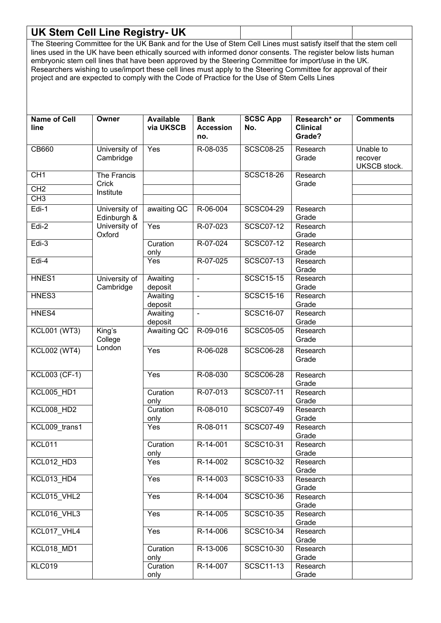| <b>UK Stem Cell Line Registry- UK</b>                                                                            |                            |                        |                  |                  |                   |                         |
|------------------------------------------------------------------------------------------------------------------|----------------------------|------------------------|------------------|------------------|-------------------|-------------------------|
| The Steering Committee for the UK Bank and for the Use of Stem Cell Lines must satisfy itself that the stem cell |                            |                        |                  |                  |                   |                         |
| lines used in the UK have been ethically sourced with informed donor consents. The register below lists human    |                            |                        |                  |                  |                   |                         |
| embryonic stem cell lines that have been approved by the Steering Committee for import/use in the UK.            |                            |                        |                  |                  |                   |                         |
| Researchers wishing to use/import these cell lines must apply to the Steering Committee for approval of their    |                            |                        |                  |                  |                   |                         |
| project and are expected to comply with the Code of Practice for the Use of Stem Cells Lines                     |                            |                        |                  |                  |                   |                         |
|                                                                                                                  |                            |                        |                  |                  |                   |                         |
|                                                                                                                  |                            |                        |                  |                  |                   |                         |
|                                                                                                                  |                            |                        |                  |                  |                   |                         |
| <b>Name of Cell</b>                                                                                              | Owner                      | <b>Available</b>       | <b>Bank</b>      | <b>SCSC App</b>  | Research* or      | <b>Comments</b>         |
| line                                                                                                             |                            | via UKSCB              | <b>Accession</b> | No.              | <b>Clinical</b>   |                         |
|                                                                                                                  |                            |                        | no.              |                  | Grade?            |                         |
|                                                                                                                  |                            | Yes                    | R-08-035         | <b>SCSC08-25</b> | Research          | Unable to               |
| CB660                                                                                                            | University of<br>Cambridge |                        |                  |                  | Grade             |                         |
|                                                                                                                  |                            |                        |                  |                  |                   | recover<br>UKSCB stock. |
| CH1                                                                                                              | The Francis                |                        |                  | <b>SCSC18-26</b> | Research          |                         |
|                                                                                                                  | Crick                      |                        |                  |                  | Grade             |                         |
| CH <sub>2</sub>                                                                                                  | Institute                  |                        |                  |                  |                   |                         |
| CH <sub>3</sub>                                                                                                  |                            |                        |                  |                  |                   |                         |
| Edi-1                                                                                                            | University of              | awaiting QC            | R-06-004         | <b>SCSC04-29</b> | Research          |                         |
|                                                                                                                  | Edinburgh &                |                        |                  |                  | Grade             |                         |
| $Edi-2$                                                                                                          | University of              | Yes                    | R-07-023         | <b>SCSC07-12</b> | Research          |                         |
| $Edi-3$                                                                                                          | Oxford                     | Curation               | R-07-024         | <b>SCSC07-12</b> | Grade<br>Research |                         |
|                                                                                                                  |                            | only                   |                  |                  | Grade             |                         |
| Edi-4                                                                                                            |                            | Yes                    | R-07-025         | <b>SCSC07-13</b> | Research          |                         |
|                                                                                                                  |                            |                        |                  |                  | Grade             |                         |
| HNES1                                                                                                            | University of              | Awaiting               | $\blacksquare$   | <b>SCSC15-15</b> | Research          |                         |
|                                                                                                                  | Cambridge                  | deposit                |                  |                  | Grade             |                         |
| HNES3                                                                                                            |                            | Awaiting               | ÷,               | <b>SCSC15-16</b> | Research          |                         |
|                                                                                                                  |                            | deposit                |                  |                  | Grade             |                         |
| HNES4                                                                                                            |                            | Awaiting               | ä,               | <b>SCSC16-07</b> | Research          |                         |
| <b>KCL001 (WT3)</b>                                                                                              | King's                     | deposit<br>Awaiting QC | R-09-016         | <b>SCSC05-05</b> | Grade<br>Research |                         |
|                                                                                                                  | College                    |                        |                  |                  | Grade             |                         |
| <b>KCL002 (WT4)</b>                                                                                              | London                     | Yes                    | R-06-028         | <b>SCSC06-28</b> | Research          |                         |
|                                                                                                                  |                            |                        |                  |                  | Grade             |                         |
|                                                                                                                  |                            |                        |                  |                  |                   |                         |
| <b>KCL003 (CF-1)</b>                                                                                             |                            | Yes                    | R-08-030         | <b>SCSC06-28</b> | Research          |                         |
|                                                                                                                  |                            |                        |                  |                  | Grade             |                         |
| <b>KCL005 HD1</b>                                                                                                |                            | Curation               | R-07-013         | <b>SCSC07-11</b> | Research          |                         |
|                                                                                                                  |                            | only                   |                  |                  | Grade             |                         |
| <b>KCL008 HD2</b>                                                                                                |                            | Curation               | R-08-010         | <b>SCSC07-49</b> | Research<br>Grade |                         |
| KCL009_trans1                                                                                                    |                            | only<br>Yes            | R-08-011         | <b>SCSC07-49</b> | Research          |                         |
|                                                                                                                  |                            |                        |                  |                  | Grade             |                         |
| KCL011                                                                                                           |                            | Curation               | R-14-001         | SCSC10-31        | Research          |                         |
|                                                                                                                  |                            | only                   |                  |                  | Grade             |                         |
| KCL012_HD3                                                                                                       |                            | Yes                    | R-14-002         | <b>SCSC10-32</b> | Research          |                         |
|                                                                                                                  |                            |                        |                  |                  | Grade             |                         |
| KCL013_HD4                                                                                                       |                            | Yes                    | R-14-003         | SCSC10-33        | Research          |                         |
|                                                                                                                  |                            |                        |                  | <b>SCSC10-36</b> | Grade             |                         |
| KCL015_VHL2                                                                                                      |                            | Yes                    | R-14-004         |                  | Research<br>Grade |                         |
| KCL016_VHL3                                                                                                      |                            | Yes                    | R-14-005         | <b>SCSC10-35</b> | Research          |                         |
|                                                                                                                  |                            |                        |                  |                  | Grade             |                         |
| KCL017_VHL4                                                                                                      |                            | Yes                    | R-14-006         | <b>SCSC10-34</b> | Research          |                         |
|                                                                                                                  |                            |                        |                  |                  | Grade             |                         |
| KCL018_MD1                                                                                                       |                            | Curation               | R-13-006         | <b>SCSC10-30</b> | Research          |                         |
|                                                                                                                  |                            | only                   |                  |                  | Grade             |                         |
| <b>KLC019</b>                                                                                                    |                            | Curation               | R-14-007         | <b>SCSC11-13</b> | Research          |                         |
|                                                                                                                  |                            | only                   |                  |                  | Grade             |                         |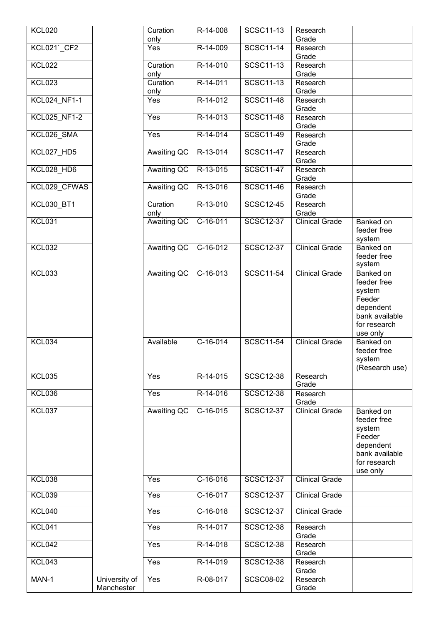| <b>KCL020</b>     |                             | Curation           | R-14-008   | <b>SCSC11-13</b> | Research              |                                                                                                         |
|-------------------|-----------------------------|--------------------|------------|------------------|-----------------------|---------------------------------------------------------------------------------------------------------|
|                   |                             | only               | R-14-009   | <b>SCSC11-14</b> | Grade                 |                                                                                                         |
| KCL021`CF2        |                             | Yes                |            |                  | Research<br>Grade     |                                                                                                         |
| <b>KCL022</b>     |                             | Curation           | R-14-010   | <b>SCSC11-13</b> | Research              |                                                                                                         |
|                   |                             | only               |            |                  | Grade                 |                                                                                                         |
| <b>KCL023</b>     |                             | Curation<br>only   | R-14-011   | <b>SCSC11-13</b> | Research<br>Grade     |                                                                                                         |
| KCL024_NF1-1      |                             | Yes                | R-14-012   | <b>SCSC11-48</b> | Research<br>Grade     |                                                                                                         |
| KCL025_NF1-2      |                             | Yes                | R-14-013   | <b>SCSC11-48</b> | Research<br>Grade     |                                                                                                         |
| KCL026 SMA        |                             | Yes                | R-14-014   | <b>SCSC11-49</b> | Research<br>Grade     |                                                                                                         |
| KCL027_HD5        |                             | Awaiting QC        | R-13-014   | <b>SCSC11-47</b> | Research<br>Grade     |                                                                                                         |
| KCL028_HD6        |                             | Awaiting QC        | R-13-015   | <b>SCSC11-47</b> | Research              |                                                                                                         |
| KCL029 CFWAS      |                             | <b>Awaiting QC</b> | R-13-016   | <b>SCSC11-46</b> | Grade<br>Research     |                                                                                                         |
| <b>KCL030 BT1</b> |                             | Curation           | R-13-010   | SCSC12-45        | Grade<br>Research     |                                                                                                         |
|                   |                             | only               |            |                  | Grade                 |                                                                                                         |
| <b>KCL031</b>     |                             | <b>Awaiting QC</b> | $C-16-011$ | <b>SCSC12-37</b> | Clinical Grade        | Banked on<br>feeder free<br>system                                                                      |
| <b>KCL032</b>     |                             | <b>Awaiting QC</b> | $C-16-012$ | <b>SCSC12-37</b> | <b>Clinical Grade</b> | Banked on<br>feeder free<br>system                                                                      |
| <b>KCL033</b>     |                             | <b>Awaiting QC</b> | $C-16-013$ | <b>SCSC11-54</b> | <b>Clinical Grade</b> | Banked on<br>feeder free<br>system<br>Feeder<br>dependent<br>bank available<br>for research<br>use only |
| KCL034            |                             | Available          | $C-16-014$ | <b>SCSC11-54</b> | <b>Clinical Grade</b> | Banked on<br>feeder free<br>system<br>(Research use)                                                    |
| <b>KCL035</b>     |                             | Yes                | R-14-015   | <b>SCSC12-38</b> | Research<br>Grade     |                                                                                                         |
| <b>KCL036</b>     |                             | Yes                | R-14-016   | <b>SCSC12-38</b> | Research<br>Grade     |                                                                                                         |
| <b>KCL037</b>     |                             | Awaiting QC        | $C-16-015$ | <b>SCSC12-37</b> | <b>Clinical Grade</b> | Banked on<br>feeder free<br>system<br>Feeder<br>dependent<br>bank available<br>for research<br>use only |
| <b>KCL038</b>     |                             | Yes                | $C-16-016$ | <b>SCSC12-37</b> | <b>Clinical Grade</b> |                                                                                                         |
| <b>KCL039</b>     |                             | Yes                | C-16-017   | <b>SCSC12-37</b> | <b>Clinical Grade</b> |                                                                                                         |
| <b>KCL040</b>     |                             | Yes                | $C-16-018$ | <b>SCSC12-37</b> | <b>Clinical Grade</b> |                                                                                                         |
| <b>KCL041</b>     |                             | Yes                | R-14-017   | <b>SCSC12-38</b> | Research<br>Grade     |                                                                                                         |
| <b>KCL042</b>     |                             | Yes                | R-14-018   | <b>SCSC12-38</b> | Research<br>Grade     |                                                                                                         |
| <b>KCL043</b>     |                             | Yes                | R-14-019   | <b>SCSC12-38</b> | Research<br>Grade     |                                                                                                         |
| MAN-1             | University of<br>Manchester | Yes                | R-08-017   | <b>SCSC08-02</b> | Research<br>Grade     |                                                                                                         |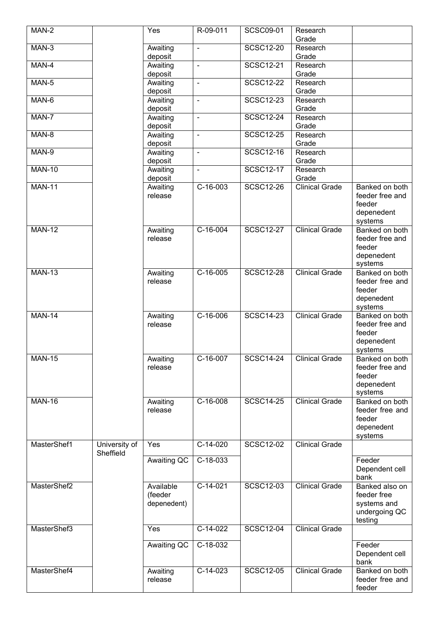| MAN-2         |               | Yes                 | R-09-011                 | <b>SCSC09-01</b> | Research              |                                   |
|---------------|---------------|---------------------|--------------------------|------------------|-----------------------|-----------------------------------|
|               |               |                     |                          |                  | Grade                 |                                   |
| MAN-3         |               | Awaiting<br>deposit | $\blacksquare$           | <b>SCSC12-20</b> | Research<br>Grade     |                                   |
| MAN-4         |               | Awaiting            | ÷,                       | <b>SCSC12-21</b> | Research              |                                   |
|               |               | deposit             |                          |                  | Grade                 |                                   |
| MAN-5         |               | Awaiting            | $\overline{\phantom{a}}$ | <b>SCSC12-22</b> | Research              |                                   |
|               |               | deposit             |                          |                  | Grade                 |                                   |
| MAN-6         |               | Awaiting            | ÷,                       | <b>SCSC12-23</b> | Research              |                                   |
|               |               | deposit             |                          |                  | Grade                 |                                   |
| MAN-7         |               | Awaiting            | L,                       | <b>SCSC12-24</b> | Research              |                                   |
|               |               | deposit             |                          |                  | Grade                 |                                   |
| MAN-8         |               | Awaiting            | $\blacksquare$           | <b>SCSC12-25</b> | Research              |                                   |
| MAN-9         |               | deposit<br>Awaiting | ÷,                       | <b>SCSC12-16</b> | Grade<br>Research     |                                   |
|               |               | deposit             |                          |                  | Grade                 |                                   |
| <b>MAN-10</b> |               | Awaiting            | $\blacksquare$           | <b>SCSC12-17</b> | Research              |                                   |
|               |               | deposit             |                          |                  | Grade                 |                                   |
| <b>MAN-11</b> |               | Awaiting            | $C-16-003$               | <b>SCSC12-26</b> | <b>Clinical Grade</b> | Banked on both                    |
|               |               | release             |                          |                  |                       | feeder free and                   |
|               |               |                     |                          |                  |                       | feeder                            |
|               |               |                     |                          |                  |                       | depenedent                        |
|               |               |                     |                          |                  |                       | systems                           |
| <b>MAN-12</b> |               | Awaiting<br>release | $C-16-004$               | <b>SCSC12-27</b> | <b>Clinical Grade</b> | Banked on both<br>feeder free and |
|               |               |                     |                          |                  |                       | feeder                            |
|               |               |                     |                          |                  |                       | depenedent                        |
|               |               |                     |                          |                  |                       | systems                           |
| <b>MAN-13</b> |               | Awaiting            | $\overline{C}$ -16-005   | <b>SCSC12-28</b> | <b>Clinical Grade</b> | Banked on both                    |
|               |               | release             |                          |                  |                       | feeder free and                   |
|               |               |                     |                          |                  |                       | feeder                            |
|               |               |                     |                          |                  |                       | depenedent                        |
|               |               |                     |                          |                  |                       | systems                           |
| <b>MAN-14</b> |               | Awaiting<br>release | $C-16-006$               | <b>SCSC14-23</b> | <b>Clinical Grade</b> | Banked on both<br>feeder free and |
|               |               |                     |                          |                  |                       | feeder                            |
|               |               |                     |                          |                  |                       | depenedent                        |
|               |               |                     |                          |                  |                       | systems                           |
| <b>MAN-15</b> |               | Awaiting            | $C-16-007$               | <b>SCSC14-24</b> | <b>Clinical Grade</b> | Banked on both                    |
|               |               | release             |                          |                  |                       | feeder free and                   |
|               |               |                     |                          |                  |                       | feeder                            |
|               |               |                     |                          |                  |                       | depenedent                        |
| <b>MAN-16</b> |               |                     | C-16-008                 | <b>SCSC14-25</b> | <b>Clinical Grade</b> | systems<br>Banked on both         |
|               |               | Awaiting<br>release |                          |                  |                       | feeder free and                   |
|               |               |                     |                          |                  |                       | feeder                            |
|               |               |                     |                          |                  |                       | depenedent                        |
|               |               |                     |                          |                  |                       | systems                           |
| MasterShef1   | University of | Yes                 | $C-14-020$               | <b>SCSC12-02</b> | <b>Clinical Grade</b> |                                   |
|               | Sheffield     | <b>Awaiting QC</b>  | C-18-033                 |                  |                       | Feeder                            |
|               |               |                     |                          |                  |                       | Dependent cell                    |
|               |               |                     |                          |                  |                       | bank                              |
| MasterShef2   |               | Available           | $C-14-021$               | <b>SCSC12-03</b> | <b>Clinical Grade</b> | Banked also on                    |
|               |               | (feeder             |                          |                  |                       | feeder free                       |
|               |               | depenedent)         |                          |                  |                       | systems and                       |
|               |               |                     |                          |                  |                       | undergoing QC                     |
|               |               |                     |                          |                  |                       | testing                           |
| MasterShef3   |               | Yes                 | $C-14-022$               | <b>SCSC12-04</b> | <b>Clinical Grade</b> |                                   |
|               |               | Awaiting QC         | $C-18-032$               |                  |                       | Feeder                            |
|               |               |                     |                          |                  |                       | Dependent cell                    |
|               |               |                     |                          |                  |                       | bank                              |
| MasterShef4   |               | Awaiting            | $C-14-023$               | <b>SCSC12-05</b> | <b>Clinical Grade</b> | Banked on both                    |
|               |               | release             |                          |                  |                       | feeder free and                   |
|               |               |                     |                          |                  |                       | feeder                            |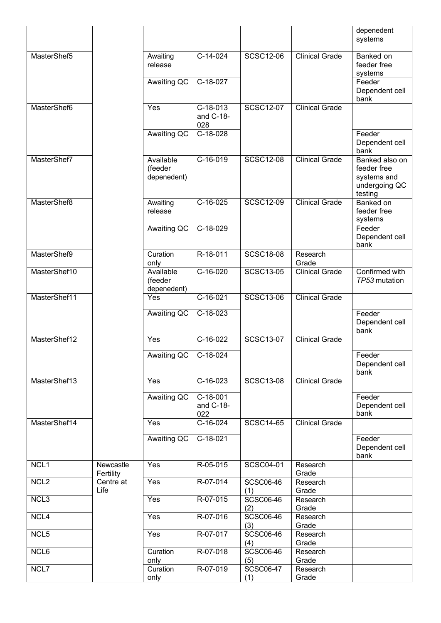|                  |                        |                                     |                                |                         |                       | depenedent<br>systems                                                    |
|------------------|------------------------|-------------------------------------|--------------------------------|-------------------------|-----------------------|--------------------------------------------------------------------------|
| MasterShef5      |                        | Awaiting<br>release                 | C-14-024                       | <b>SCSC12-06</b>        | <b>Clinical Grade</b> | Banked on<br>feeder free<br>systems                                      |
|                  |                        | Awaiting QC                         | C-18-027                       |                         |                       | Feeder<br>Dependent cell<br>bank                                         |
| MasterShef6      |                        | Yes                                 | $C-18-013$<br>and C-18-<br>028 | <b>SCSC12-07</b>        | <b>Clinical Grade</b> |                                                                          |
|                  |                        | <b>Awaiting QC</b>                  | $C-18-028$                     |                         |                       | Feeder<br>Dependent cell<br>bank                                         |
| MasterShef7      |                        | Available<br>(feeder<br>depenedent) | C-16-019                       | <b>SCSC12-08</b>        | <b>Clinical Grade</b> | Banked also on<br>feeder free<br>systems and<br>undergoing QC<br>testing |
| MasterShef8      |                        | Awaiting<br>release                 | $C-16-025$                     | <b>SCSC12-09</b>        | <b>Clinical Grade</b> | <b>Banked on</b><br>feeder free<br>systems                               |
|                  |                        | Awaiting QC                         | C-18-029                       |                         |                       | Feeder<br>Dependent cell<br>bank                                         |
| MasterShef9      |                        | Curation<br>only                    | R-18-011                       | <b>SCSC18-08</b>        | Research<br>Grade     |                                                                          |
| MasterShef10     |                        | Available<br>(feeder<br>depenedent) | $C-16-020$                     | <b>SCSC13-05</b>        | <b>Clinical Grade</b> | Confirmed with<br>TP53 mutation                                          |
| MasterShef11     |                        | Yes                                 | $C-16-021$                     | <b>SCSC13-06</b>        | <b>Clinical Grade</b> |                                                                          |
|                  |                        | <b>Awaiting QC</b>                  | $C-18-023$                     |                         |                       | Feeder<br>Dependent cell<br>bank                                         |
| MasterShef12     |                        | Yes                                 | $C-16-022$                     | <b>SCSC13-07</b>        | <b>Clinical Grade</b> |                                                                          |
|                  |                        | Awaiting QC                         | C-18-024                       |                         |                       | Feeder<br>Dependent cell<br>bank                                         |
| MasterShef13     |                        | Yes                                 | C-16-023                       | <b>SCSC13-08</b>        | <b>Clinical Grade</b> |                                                                          |
|                  |                        | Awaiting QC                         | C-18-001<br>and C-18-<br>022   |                         |                       | Feeder<br>Dependent cell<br>bank                                         |
| MasterShef14     |                        | Yes                                 | $C-16-024$                     | <b>SCSC14-65</b>        | <b>Clinical Grade</b> |                                                                          |
|                  |                        | Awaiting QC                         | $C-18-021$                     |                         |                       | Feeder<br>Dependent cell<br>bank                                         |
| NCL <sub>1</sub> | Newcastle<br>Fertility | Yes                                 | R-05-015                       | <b>SCSC04-01</b>        | Research<br>Grade     |                                                                          |
| NCL <sub>2</sub> | Centre at<br>Life      | Yes                                 | R-07-014                       | <b>SCSC06-46</b><br>(1) | Research<br>Grade     |                                                                          |
| NCL <sub>3</sub> |                        | Yes                                 | R-07-015                       | <b>SCSC06-46</b><br>(2) | Research<br>Grade     |                                                                          |
| NCL4             |                        | Yes                                 | R-07-016                       | <b>SCSC06-46</b><br>(3) | Research<br>Grade     |                                                                          |
| NCL <sub>5</sub> |                        | Yes                                 | R-07-017                       | <b>SCSC06-46</b><br>(4) | Research<br>Grade     |                                                                          |
| NCL6             |                        |                                     |                                |                         |                       |                                                                          |
|                  |                        | Curation<br>only                    | R-07-018                       | <b>SCSC06-46</b><br>(5) | Research<br>Grade     |                                                                          |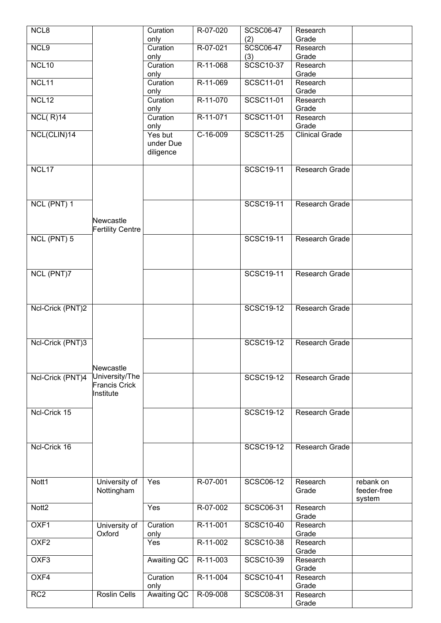| NCL <sub>8</sub>  |                         | Curation    | R-07-020   | <b>SCSC06-47</b> | Research              |             |
|-------------------|-------------------------|-------------|------------|------------------|-----------------------|-------------|
|                   |                         |             |            |                  | Grade                 |             |
|                   |                         | only        |            | (2)              |                       |             |
| NCL <sub>9</sub>  |                         | Curation    | R-07-021   | <b>SCSC06-47</b> | Research              |             |
|                   |                         | only        |            | (3)              | Grade                 |             |
| NCL <sub>10</sub> |                         | Curation    | R-11-068   | <b>SCSC10-37</b> | Research              |             |
|                   |                         | only        |            |                  | Grade                 |             |
| NCL11             |                         | Curation    | R-11-069   | SCSC11-01        | Research              |             |
|                   |                         | only        |            |                  | Grade                 |             |
| NCL <sub>12</sub> |                         | Curation    | R-11-070   | SCSC11-01        | Research              |             |
|                   |                         | only        |            |                  | Grade                 |             |
| NCL(R)14          |                         | Curation    | R-11-071   | SCSC11-01        | Research              |             |
|                   |                         |             |            |                  | Grade                 |             |
| NCL(CLIN)14       |                         | only        | $C-16-009$ | <b>SCSC11-25</b> | <b>Clinical Grade</b> |             |
|                   |                         | Yes but     |            |                  |                       |             |
|                   |                         | under Due   |            |                  |                       |             |
|                   |                         | diligence   |            |                  |                       |             |
|                   |                         |             |            |                  |                       |             |
| NCL17             |                         |             |            | SCSC19-11        | <b>Research Grade</b> |             |
|                   |                         |             |            |                  |                       |             |
|                   |                         |             |            |                  |                       |             |
|                   |                         |             |            |                  |                       |             |
| NCL (PNT) 1       |                         |             |            | SCSC19-11        | Research Grade        |             |
|                   |                         |             |            |                  |                       |             |
|                   | Newcastle               |             |            |                  |                       |             |
|                   |                         |             |            |                  |                       |             |
|                   | <b>Fertility Centre</b> |             |            |                  |                       |             |
| NCL (PNT) 5       |                         |             |            | SCSC19-11        | <b>Research Grade</b> |             |
|                   |                         |             |            |                  |                       |             |
|                   |                         |             |            |                  |                       |             |
|                   |                         |             |            |                  |                       |             |
| NCL (PNT)7        |                         |             |            | <b>SCSC19-11</b> | Research Grade        |             |
|                   |                         |             |            |                  |                       |             |
|                   |                         |             |            |                  |                       |             |
|                   |                         |             |            |                  |                       |             |
| Ncl-Crick (PNT)2  |                         |             |            | <b>SCSC19-12</b> | Research Grade        |             |
|                   |                         |             |            |                  |                       |             |
|                   |                         |             |            |                  |                       |             |
|                   |                         |             |            |                  |                       |             |
|                   |                         |             |            |                  |                       |             |
| Ncl-Crick (PNT)3  |                         |             |            | <b>SCSC19-12</b> | Research Grade        |             |
|                   |                         |             |            |                  |                       |             |
|                   |                         |             |            |                  |                       |             |
|                   | Newcastle               |             |            |                  |                       |             |
| Ncl-Crick (PNT)4  | University/The          |             |            | <b>SCSC19-12</b> | Research Grade        |             |
|                   | <b>Francis Crick</b>    |             |            |                  |                       |             |
|                   | Institute               |             |            |                  |                       |             |
|                   |                         |             |            |                  |                       |             |
| Ncl-Crick 15      |                         |             |            | <b>SCSC19-12</b> | Research Grade        |             |
|                   |                         |             |            |                  |                       |             |
|                   |                         |             |            |                  |                       |             |
|                   |                         |             |            |                  |                       |             |
|                   |                         |             |            |                  |                       |             |
| Ncl-Crick 16      |                         |             |            | SCSC19-12        | Research Grade        |             |
|                   |                         |             |            |                  |                       |             |
|                   |                         |             |            |                  |                       |             |
|                   |                         |             |            |                  |                       |             |
| Nott1             | University of           | Yes         | R-07-001   | <b>SCSC06-12</b> | Research              | rebank on   |
|                   | Nottingham              |             |            |                  | Grade                 | feeder-free |
|                   |                         |             |            |                  |                       | system      |
| Nott <sub>2</sub> |                         | Yes         | R-07-002   | <b>SCSC06-31</b> | Research              |             |
|                   |                         |             |            |                  | Grade                 |             |
| OXF1              | University of           | Curation    | R-11-001   | <b>SCSC10-40</b> | Research              |             |
|                   | Oxford                  |             |            |                  |                       |             |
|                   |                         | only        |            |                  | Grade                 |             |
| OXF <sub>2</sub>  |                         | Yes         | $R-11-002$ | <b>SCSC10-38</b> | Research              |             |
|                   |                         |             |            |                  | Grade                 |             |
| OXF <sub>3</sub>  |                         | Awaiting QC | R-11-003   | SCSC10-39        | Research              |             |
|                   |                         |             |            |                  | Grade                 |             |
| OXF4              |                         | Curation    | R-11-004   | <b>SCSC10-41</b> | Research              |             |
|                   |                         | only        |            |                  | Grade                 |             |
| RC <sub>2</sub>   | <b>Roslin Cells</b>     | Awaiting QC | R-09-008   | <b>SCSC08-31</b> | Research              |             |
|                   |                         |             |            |                  | Grade                 |             |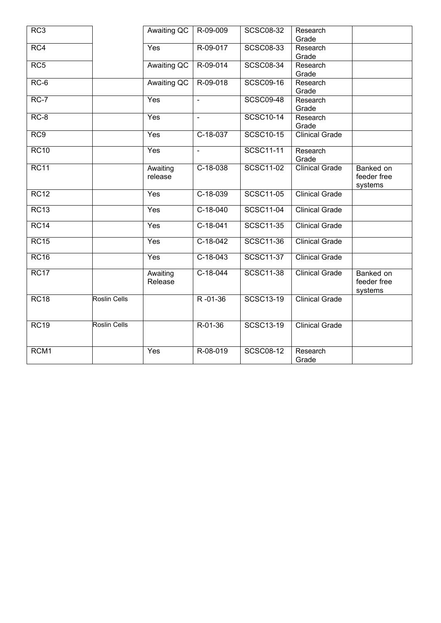| RC <sub>3</sub>  |                     | Awaiting QC        | R-09-009       | <b>SCSC08-32</b> | Research              |             |
|------------------|---------------------|--------------------|----------------|------------------|-----------------------|-------------|
|                  |                     |                    |                |                  | Grade                 |             |
| RC4              |                     | Yes                | R-09-017       | <b>SCSC08-33</b> | Research              |             |
|                  |                     |                    |                |                  | Grade                 |             |
| RC5              |                     | <b>Awaiting QC</b> | R-09-014       | <b>SCSC08-34</b> | Research              |             |
|                  |                     |                    |                |                  | Grade                 |             |
| $RC-6$           |                     | Awaiting QC        | R-09-018       | <b>SCSC09-16</b> | Research              |             |
|                  |                     |                    |                |                  | Grade                 |             |
| $RC-7$           |                     | Yes                | ÷,             | <b>SCSC09-48</b> | Research              |             |
|                  |                     |                    |                |                  | Grade                 |             |
| $RC-8$           |                     | Yes                | $\blacksquare$ | <b>SCSC10-14</b> | Research              |             |
|                  |                     |                    |                |                  | Grade                 |             |
| RC9              |                     | Yes                | $C-18-037$     | <b>SCSC10-15</b> | <b>Clinical Grade</b> |             |
|                  |                     |                    |                |                  |                       |             |
| RC10             |                     | Yes                | $\blacksquare$ | <b>SCSC11-11</b> | Research              |             |
|                  |                     |                    |                |                  | Grade                 |             |
| <b>RC11</b>      |                     | Awaiting           | C-18-038       | <b>SCSC11-02</b> | <b>Clinical Grade</b> | Banked on   |
|                  |                     | release            |                |                  |                       | feeder free |
|                  |                     |                    |                |                  |                       | systems     |
| RC12             |                     | Yes                | $C-18-039$     | <b>SCSC11-05</b> | <b>Clinical Grade</b> |             |
|                  |                     |                    |                |                  |                       |             |
| RC13             |                     | Yes                | $C-18-040$     | <b>SCSC11-04</b> | <b>Clinical Grade</b> |             |
|                  |                     |                    |                |                  |                       |             |
| RC14             |                     | Yes                | $C-18-041$     | <b>SCSC11-35</b> | <b>Clinical Grade</b> |             |
|                  |                     |                    |                |                  |                       |             |
| RC15             |                     | Yes                | $C-18-042$     | <b>SCSC11-36</b> | <b>Clinical Grade</b> |             |
|                  |                     |                    |                |                  |                       |             |
| RC16             |                     | Yes                | $C-18-043$     | <b>SCSC11-37</b> | <b>Clinical Grade</b> |             |
|                  |                     |                    |                |                  |                       |             |
| RC17             |                     | Awaiting           | $C-18-044$     | <b>SCSC11-38</b> | <b>Clinical Grade</b> | Banked on   |
|                  |                     | Release            |                |                  |                       | feeder free |
|                  |                     |                    |                |                  |                       | systems     |
| <b>RC18</b>      | <b>Roslin Cells</b> |                    | $R - 01 - 36$  | SCSC13-19        | <b>Clinical Grade</b> |             |
|                  |                     |                    |                |                  |                       |             |
|                  |                     |                    |                |                  |                       |             |
| RC19             | <b>Roslin Cells</b> |                    | R-01-36        | SCSC13-19        | <b>Clinical Grade</b> |             |
|                  |                     |                    |                |                  |                       |             |
|                  |                     |                    |                |                  |                       |             |
| RCM <sub>1</sub> |                     | Yes                | R-08-019       | <b>SCSC08-12</b> | Research              |             |
|                  |                     |                    |                |                  | Grade                 |             |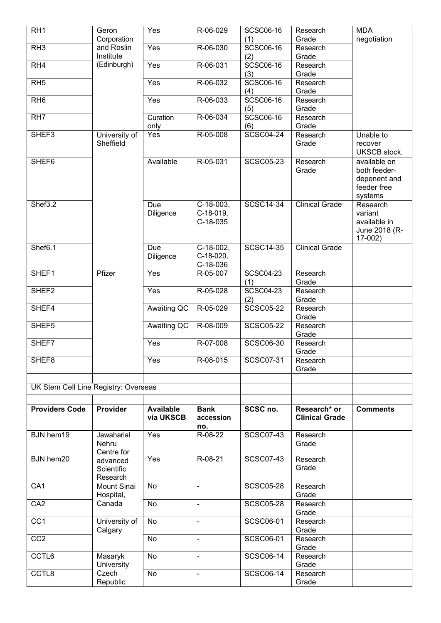| RH <sub>1</sub>                      | Geron                              | Yes                           | R-06-029                           | <b>SCSC06-16</b>        | Research                              | <b>MDA</b>                                                             |
|--------------------------------------|------------------------------------|-------------------------------|------------------------------------|-------------------------|---------------------------------------|------------------------------------------------------------------------|
| RH3                                  | Corporation<br>and Roslin          | Yes                           | R-06-030                           | (1)<br><b>SCSC06-16</b> | Grade<br>Research                     | negotiation                                                            |
|                                      | Institute                          |                               |                                    | (2)                     | Grade                                 |                                                                        |
| RH4                                  | (Edinburgh)                        | Yes                           | R-06-031                           | <b>SCSC06-16</b>        | Research                              |                                                                        |
|                                      |                                    |                               |                                    | (3)                     | Grade                                 |                                                                        |
| RH5                                  |                                    | Yes                           | R-06-032                           | <b>SCSC06-16</b><br>(4) | Research<br>Grade                     |                                                                        |
| RH <sub>6</sub>                      |                                    | Yes                           | R-06-033                           | <b>SCSC06-16</b><br>(5) | Research<br>Grade                     |                                                                        |
| R <sub>H7</sub>                      |                                    | Curation<br>only              | R-06-034                           | <b>SCSC06-16</b><br>(6) | Research<br>Grade                     |                                                                        |
| SHEF3                                | University of<br>Sheffield         | Yes                           | R-05-008                           | <b>SCSC04-24</b>        | Research<br>Grade                     | Unable to<br>recover<br><b>UKSCB</b> stock.                            |
| SHEF <sub>6</sub>                    |                                    | Available                     | R-05-031                           | <b>SCSC05-23</b>        | Research<br>Grade                     | available on<br>both feeder-<br>depenent and<br>feeder free<br>systems |
| Shef3.2                              |                                    | Due<br>Diligence              | C-18-003,<br>C-18-019,<br>C-18-035 | <b>SCSC14-34</b>        | <b>Clinical Grade</b>                 | Research<br>variant<br>available in<br>June 2018 (R-<br>17-002)        |
| Shef <sub>6.1</sub>                  |                                    | Due<br>Diligence              | C-18-002,<br>C-18-020,<br>C-18-036 | <b>SCSC14-35</b>        | <b>Clinical Grade</b>                 |                                                                        |
| SHEF1                                | Pfizer                             | Yes                           | R-05-007                           | <b>SCSC04-23</b><br>(1) | Research<br>Grade                     |                                                                        |
| SHEF <sub>2</sub>                    |                                    | Yes                           | R-05-028                           | <b>SCSC04-23</b><br>(2) | Research<br>Grade                     |                                                                        |
| SHEF4                                |                                    | Awaiting QC                   | R-05-029                           | <b>SCSC05-22</b>        | Research<br>Grade                     |                                                                        |
| SHEF5                                |                                    | Awaiting QC                   | R-08-009                           | <b>SCSC05-22</b>        | Research<br>Grade                     |                                                                        |
| SHEF7                                |                                    | Yes                           | R-07-008                           | <b>SCSC06-30</b>        | Research<br>Grade                     |                                                                        |
| SHEF <sub>8</sub>                    |                                    | Yes                           | R-08-015                           | SCSC07-31               | Research<br>Grade                     |                                                                        |
|                                      |                                    |                               |                                    |                         |                                       |                                                                        |
| UK Stem Cell Line Registry: Overseas |                                    |                               |                                    |                         |                                       |                                                                        |
|                                      |                                    |                               |                                    |                         |                                       |                                                                        |
| <b>Providers Code</b>                | Provider                           | <b>Available</b><br>via UKSCB | <b>Bank</b><br>accession<br>no.    | SCSC no.                | Research* or<br><b>Clinical Grade</b> | <b>Comments</b>                                                        |
| <b>BJN</b> hem19                     | Jawaharial<br>Nehru<br>Centre for  | Yes                           | R-08-22                            | <b>SCSC07-43</b>        | Research<br>Grade                     |                                                                        |
| <b>BJN</b> hem20                     | advanced<br>Scientific<br>Research | Yes                           | $R-08-21$                          | <b>SCSC07-43</b>        | Research<br>Grade                     |                                                                        |
| CA <sub>1</sub>                      | Mount Sinai<br>Hospital,           | No                            | $\blacksquare$                     | <b>SCSC05-28</b>        | Research<br>Grade                     |                                                                        |
| CA <sub>2</sub>                      | Canada                             | No                            | $\blacksquare$                     | <b>SCSC05-28</b>        | Research<br>Grade                     |                                                                        |
| $\overline{CC1}$                     | University of<br>Calgary           | No                            | $\blacksquare$                     | <b>SCSC06-01</b>        | Research<br>Grade                     |                                                                        |
| CC2                                  |                                    | No                            | $\blacksquare$                     | <b>SCSC06-01</b>        | Research<br>Grade                     |                                                                        |
| CCTL6                                | Masaryk<br>University              | No                            | $\blacksquare$                     | <b>SCSC06-14</b>        | Research<br>Grade                     |                                                                        |
|                                      |                                    |                               |                                    |                         |                                       |                                                                        |
| CCTL8                                | Czech<br>Republic                  | No                            | $\blacksquare$                     | <b>SCSC06-14</b>        | Research<br>Grade                     |                                                                        |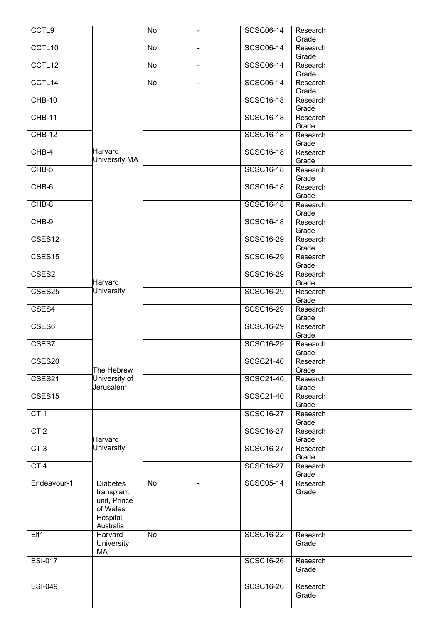| CCTL <sub>9</sub>  |                            | No | $\overline{\phantom{a}}$ | <b>SCSC06-14</b> | Research          |  |
|--------------------|----------------------------|----|--------------------------|------------------|-------------------|--|
|                    |                            |    |                          |                  | Grade             |  |
| CCTL10             |                            | No | $\blacksquare$           | <b>SCSC06-14</b> | Research<br>Grade |  |
| CCTL12             |                            | No | $\blacksquare$           | <b>SCSC06-14</b> | Research          |  |
|                    |                            |    |                          |                  | Grade             |  |
| CCTL14             |                            | No | $\blacksquare$           | <b>SCSC06-14</b> | Research          |  |
|                    |                            |    |                          |                  | Grade             |  |
| $CHB-10$           |                            |    |                          | <b>SCSC16-18</b> | Research          |  |
|                    |                            |    |                          |                  | Grade             |  |
| $CHB-11$           |                            |    |                          | <b>SCSC16-18</b> | Research<br>Grade |  |
| $CHB-12$           |                            |    |                          | <b>SCSC16-18</b> | Research          |  |
|                    |                            |    |                          |                  | Grade             |  |
| $CHB-4$            | Harvard                    |    |                          | <b>SCSC16-18</b> | Research          |  |
|                    | University MA              |    |                          |                  | Grade             |  |
| CHB-5              |                            |    |                          | <b>SCSC16-18</b> | Research          |  |
|                    |                            |    |                          |                  | Grade             |  |
| CHB-6              |                            |    |                          | <b>SCSC16-18</b> | Research<br>Grade |  |
| CHB-8              |                            |    |                          | <b>SCSC16-18</b> | Research          |  |
|                    |                            |    |                          |                  | Grade             |  |
| $CHB-9$            |                            |    |                          | <b>SCSC16-18</b> | Research          |  |
|                    |                            |    |                          |                  | Grade             |  |
| CSES <sub>12</sub> |                            |    |                          | <b>SCSC16-29</b> | Research          |  |
|                    |                            |    |                          | <b>SCSC16-29</b> | Grade             |  |
| CSES <sub>15</sub> |                            |    |                          |                  | Research<br>Grade |  |
| CSES2              |                            |    |                          | <b>SCSC16-29</b> | Research          |  |
|                    | Harvard                    |    |                          |                  | Grade             |  |
| CSES25             | University                 |    |                          | <b>SCSC16-29</b> | Research          |  |
|                    |                            |    |                          |                  | Grade             |  |
| CSES4              |                            |    |                          | <b>SCSC16-29</b> | Research          |  |
|                    |                            |    |                          | <b>SCSC16-29</b> | Grade             |  |
| CSES6              |                            |    |                          |                  | Research<br>Grade |  |
| CSES7              |                            |    |                          | <b>SCSC16-29</b> | Research          |  |
|                    |                            |    |                          |                  | Grade             |  |
| CSES20             |                            |    |                          | SCSC21-40        | Research          |  |
|                    | The Hebrew                 |    |                          |                  | Grade             |  |
| CSES21             | University of<br>Jerusalem |    |                          | <b>SCSC21-40</b> | Research          |  |
| CSES <sub>15</sub> |                            |    |                          | <b>SCSC21-40</b> | Grade<br>Research |  |
|                    |                            |    |                          |                  | Grade             |  |
| CT 1               |                            |    |                          | <b>SCSC16-27</b> | Research          |  |
|                    |                            |    |                          |                  | Grade             |  |
| CT 2               |                            |    |                          | <b>SCSC16-27</b> | Research          |  |
| CT3                | Harvard<br>University      |    |                          | <b>SCSC16-27</b> | Grade<br>Research |  |
|                    |                            |    |                          |                  | Grade             |  |
| CT <sub>4</sub>    |                            |    |                          | <b>SCSC16-27</b> | Research          |  |
|                    |                            |    |                          |                  | Grade             |  |
| Endeavour-1        | <b>Diabetes</b>            | No | $\blacksquare$           | <b>SCSC05-14</b> | Research          |  |
|                    | transplant                 |    |                          |                  | Grade             |  |
|                    | unit, Prince               |    |                          |                  |                   |  |
|                    | of Wales<br>Hospital,      |    |                          |                  |                   |  |
|                    | Australia                  |    |                          |                  |                   |  |
| Elf1               | Harvard                    | No |                          | <b>SCSC16-22</b> | Research          |  |
|                    | University                 |    |                          |                  | Grade             |  |
|                    | MA                         |    |                          |                  |                   |  |
| <b>ESI-017</b>     |                            |    |                          | <b>SCSC16-26</b> | Research          |  |
|                    |                            |    |                          |                  | Grade             |  |
| <b>ESI-049</b>     |                            |    |                          | <b>SCSC16-26</b> | Research          |  |
|                    |                            |    |                          |                  | Grade             |  |
|                    |                            |    |                          |                  |                   |  |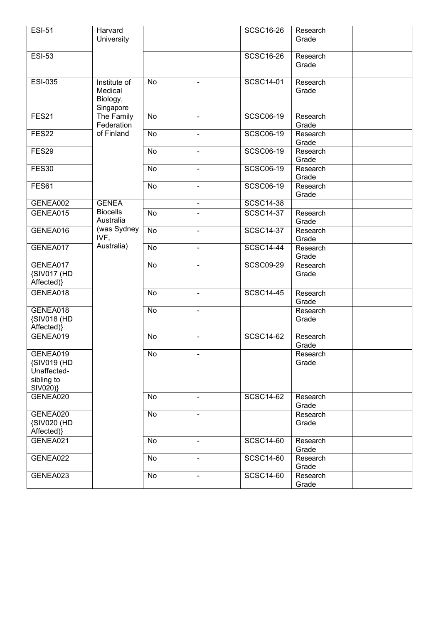| <b>ESI-51</b>              | Harvard                 |    |                              | <b>SCSC16-26</b> | Research          |
|----------------------------|-------------------------|----|------------------------------|------------------|-------------------|
|                            | University              |    |                              |                  | Grade             |
| <b>ESI-53</b>              |                         |    |                              | <b>SCSC16-26</b> | Research          |
|                            |                         |    |                              |                  | Grade             |
| <b>ESI-035</b>             | Institute of            | No | $\blacksquare$               | <b>SCSC14-01</b> | Research          |
|                            | Medical                 |    |                              |                  | Grade             |
|                            | Biology,                |    |                              |                  |                   |
| FES21                      | Singapore<br>The Family | No | $\blacksquare$               | <b>SCSC06-19</b> | Research          |
|                            | Federation              |    |                              |                  | Grade             |
| FES22                      | of Finland              | No | $\blacksquare$               | <b>SCSC06-19</b> | Research          |
|                            |                         |    |                              |                  | Grade             |
| FES29                      |                         | No | $\blacksquare$               | <b>SCSC06-19</b> | Research          |
|                            |                         |    |                              |                  | Grade             |
| <b>FES30</b>               |                         | No | $\blacksquare$               | <b>SCSC06-19</b> | Research<br>Grade |
| FES61                      |                         | No | $\blacksquare$               | <b>SCSC06-19</b> | Research          |
|                            |                         |    |                              |                  | Grade             |
| GENEA002                   | <b>GENEA</b>            |    | $\blacksquare$               | <b>SCSC14-38</b> |                   |
| GENEA015                   | <b>Biocells</b>         | No | $\blacksquare$               | <b>SCSC14-37</b> | Research          |
|                            | Australia               |    |                              |                  | Grade             |
| GENEA016                   | (was Sydney<br>IVF,     | No | $\blacksquare$               | <b>SCSC14-37</b> | Research          |
| GENEA017                   | Australia)              | No | $\blacksquare$               | <b>SCSC14-44</b> | Grade<br>Research |
|                            |                         |    |                              |                  | Grade             |
| GENEA017                   |                         | No | $\blacksquare$               | <b>SCSC09-29</b> | Research          |
| {SIV017 (HD                |                         |    |                              |                  | Grade             |
| Affected)}                 |                         |    |                              |                  |                   |
| GENEA018                   |                         | No | $\blacksquare$               | <b>SCSC14-45</b> | Research          |
| GENEA018                   |                         | No |                              |                  | Grade<br>Research |
| {SIV018 (HD                |                         |    | $\blacksquare$               |                  | Grade             |
| Affected)                  |                         |    |                              |                  |                   |
| GENEA019                   |                         | No | $\blacksquare$               | <b>SCSC14-62</b> | Research          |
|                            |                         |    |                              |                  | Grade             |
| GENEA019                   |                         | No | $\overline{\phantom{a}}$     |                  | Research          |
| {SIV019 (HD<br>Unaffected- |                         |    |                              |                  | Grade             |
| sibling to                 |                         |    |                              |                  |                   |
| SIV020)}                   |                         |    |                              |                  |                   |
| GENEA020                   |                         | No | $\blacksquare$               | <b>SCSC14-62</b> | Research          |
|                            |                         |    |                              |                  | Grade             |
| GENEA020                   |                         | No | $\blacksquare$               |                  | Research<br>Grade |
| {SIV020 (HD<br>Affected)}  |                         |    |                              |                  |                   |
| GENEA021                   |                         | No | $\blacksquare$               | <b>SCSC14-60</b> | Research          |
|                            |                         |    |                              |                  | Grade             |
| GENEA022                   |                         | No | $\overline{\phantom{a}}$     | <b>SCSC14-60</b> | Research          |
|                            |                         |    |                              |                  | Grade             |
| GENEA023                   |                         | No | $\qquad \qquad \blacksquare$ | <b>SCSC14-60</b> | Research<br>Grade |
|                            |                         |    |                              |                  |                   |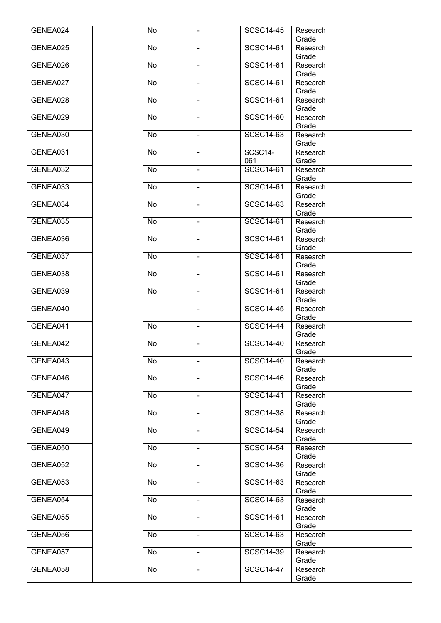| GENEA024 | No        | $\blacksquare$ | <b>SCSC14-45</b> | Research          |  |
|----------|-----------|----------------|------------------|-------------------|--|
|          |           |                |                  | Grade             |  |
| GENEA025 | No        | $\blacksquare$ | <b>SCSC14-61</b> | Research          |  |
|          |           |                |                  | Grade             |  |
| GENEA026 | No        | $\sim$         | <b>SCSC14-61</b> | Research          |  |
| GENEA027 | No        | $\blacksquare$ | <b>SCSC14-61</b> | Grade<br>Research |  |
|          |           |                |                  | Grade             |  |
| GENEA028 | No        | $\blacksquare$ | <b>SCSC14-61</b> | Research          |  |
|          |           |                |                  | Grade             |  |
| GENEA029 | No        | $\blacksquare$ | <b>SCSC14-60</b> | Research          |  |
|          |           |                |                  | Grade             |  |
| GENEA030 | No        | $\blacksquare$ | <b>SCSC14-63</b> | Research          |  |
|          |           |                |                  | Grade             |  |
| GENEA031 | No        | $\blacksquare$ | SCSC14-          | Research          |  |
|          |           |                | 061              | Grade             |  |
| GENEA032 | No        | $\blacksquare$ | <b>SCSC14-61</b> | Research<br>Grade |  |
| GENEA033 | No        | $\blacksquare$ | <b>SCSC14-61</b> | Research          |  |
|          |           |                |                  | Grade             |  |
| GENEA034 | No        | $\blacksquare$ | <b>SCSC14-63</b> | Research          |  |
|          |           |                |                  | Grade             |  |
| GENEA035 | No        | $\blacksquare$ | <b>SCSC14-61</b> | Research          |  |
|          |           |                |                  | Grade             |  |
| GENEA036 | No        | $\blacksquare$ | <b>SCSC14-61</b> | Research          |  |
|          |           |                |                  | Grade             |  |
| GENEA037 | No        | $\mathbf{r}$   | <b>SCSC14-61</b> | Research          |  |
|          |           |                | <b>SCSC14-61</b> | Grade             |  |
| GENEA038 | No        | $\blacksquare$ |                  | Research<br>Grade |  |
| GENEA039 | No        | $\blacksquare$ | <b>SCSC14-61</b> | Research          |  |
|          |           |                |                  | Grade             |  |
| GENEA040 |           | $\blacksquare$ | <b>SCSC14-45</b> | Research          |  |
|          |           |                |                  | Grade             |  |
| GENEA041 | No        | $\blacksquare$ | SCSC14-44        | Research          |  |
|          |           |                |                  | Grade             |  |
| GENEA042 | No        | $\blacksquare$ | <b>SCSC14-40</b> | Research          |  |
|          |           |                |                  | Grade             |  |
| GENEA043 | No        | $\blacksquare$ | <b>SCSC14-40</b> | Research          |  |
| GENEA046 | No        | $\blacksquare$ | <b>SCSC14-46</b> | Grade<br>Research |  |
|          |           |                |                  | Grade             |  |
| GENEA047 | No        | $\blacksquare$ | <b>SCSC14-41</b> | Research          |  |
|          |           |                |                  | Grade             |  |
| GENEA048 | No        | $\blacksquare$ | <b>SCSC14-38</b> | Research          |  |
|          |           |                |                  | Grade             |  |
| GENEA049 | No        | $\blacksquare$ | <b>SCSC14-54</b> | Research          |  |
|          |           |                |                  | Grade             |  |
| GENEA050 | <b>No</b> | $\blacksquare$ | <b>SCSC14-54</b> | Research          |  |
| GENEA052 | No        |                | <b>SCSC14-36</b> | Grade             |  |
|          |           | $\blacksquare$ |                  | Research<br>Grade |  |
| GENEA053 | No        | $\blacksquare$ | <b>SCSC14-63</b> | Research          |  |
|          |           |                |                  | Grade             |  |
| GENEA054 | <b>No</b> | $\blacksquare$ | <b>SCSC14-63</b> | Research          |  |
|          |           |                |                  | Grade             |  |
| GENEA055 | No        | $\blacksquare$ | SCSC14-61        | Research          |  |
|          |           |                |                  | Grade             |  |
| GENEA056 | No        | $\blacksquare$ | <b>SCSC14-63</b> | Research          |  |
|          |           |                |                  | Grade             |  |
| GENEA057 | No        | $\blacksquare$ | <b>SCSC14-39</b> | Research          |  |
| GENEA058 | No        | $\blacksquare$ | <b>SCSC14-47</b> | Grade<br>Research |  |
|          |           |                |                  | Grade             |  |
|          |           |                |                  |                   |  |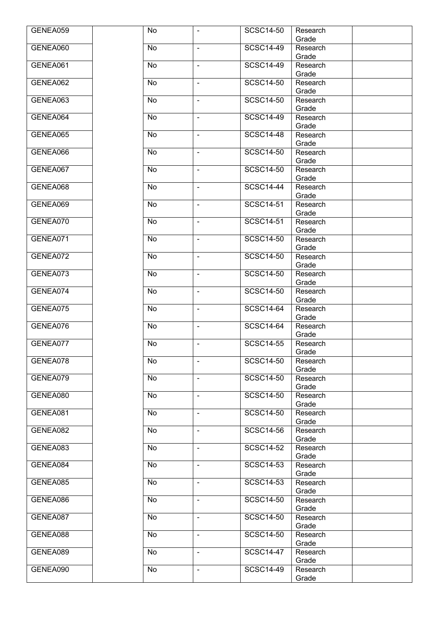| GENEA059 | No        | $\blacksquare$ | <b>SCSC14-50</b> | Research          |  |
|----------|-----------|----------------|------------------|-------------------|--|
|          |           |                |                  | Grade             |  |
| GENEA060 | No        | $\blacksquare$ | <b>SCSC14-49</b> | Research          |  |
|          |           |                |                  | Grade             |  |
| GENEA061 | No        | $\sim$         | <b>SCSC14-49</b> | Research          |  |
| GENEA062 | No        | $\blacksquare$ | <b>SCSC14-50</b> | Grade<br>Research |  |
|          |           |                |                  | Grade             |  |
| GENEA063 | No        | $\blacksquare$ | <b>SCSC14-50</b> | Research          |  |
|          |           |                |                  | Grade             |  |
| GENEA064 | No        | $\blacksquare$ | <b>SCSC14-49</b> | Research          |  |
|          |           |                |                  | Grade             |  |
| GENEA065 | No        | $\blacksquare$ | <b>SCSC14-48</b> | Research          |  |
|          |           |                |                  | Grade             |  |
| GENEA066 | No        | $\blacksquare$ | <b>SCSC14-50</b> | Research          |  |
|          |           |                |                  | Grade             |  |
| GENEA067 | No        | $\blacksquare$ | <b>SCSC14-50</b> | Research<br>Grade |  |
| GENEA068 | No        | $\blacksquare$ | <b>SCSC14-44</b> | Research          |  |
|          |           |                |                  | Grade             |  |
| GENEA069 | No        | $\blacksquare$ | <b>SCSC14-51</b> | Research          |  |
|          |           |                |                  | Grade             |  |
| GENEA070 | No        | $\blacksquare$ | <b>SCSC14-51</b> | Research          |  |
|          |           |                |                  | Grade             |  |
| GENEA071 | <b>No</b> | $\blacksquare$ | <b>SCSC14-50</b> | Research          |  |
|          |           |                |                  | Grade             |  |
| GENEA072 | No        | $\mathbf{r}$   | <b>SCSC14-50</b> | Research          |  |
|          |           |                | <b>SCSC14-50</b> | Grade             |  |
| GENEA073 | No        | $\blacksquare$ |                  | Research<br>Grade |  |
| GENEA074 | No        | $\blacksquare$ | <b>SCSC14-50</b> | Research          |  |
|          |           |                |                  | Grade             |  |
| GENEA075 | No        | $\blacksquare$ | <b>SCSC14-64</b> | Research          |  |
|          |           |                |                  | Grade             |  |
| GENEA076 | No        | $\blacksquare$ | <b>SCSC14-64</b> | Research          |  |
|          |           |                |                  | Grade             |  |
| GENEA077 | No        | $\blacksquare$ | <b>SCSC14-55</b> | Research          |  |
|          |           |                |                  | Grade             |  |
| GENEA078 | No        | $\blacksquare$ | <b>SCSC14-50</b> | Research          |  |
| GENEA079 | No        | $\blacksquare$ | <b>SCSC14-50</b> | Grade<br>Research |  |
|          |           |                |                  | Grade             |  |
| GENEA080 | No        | $\blacksquare$ | <b>SCSC14-50</b> | Research          |  |
|          |           |                |                  | Grade             |  |
| GENEA081 | No        | $\blacksquare$ | <b>SCSC14-50</b> | Research          |  |
|          |           |                |                  | Grade             |  |
| GENEA082 | No        | $\blacksquare$ | <b>SCSC14-56</b> | Research          |  |
|          |           |                |                  | Grade             |  |
| GENEA083 | <b>No</b> | $\blacksquare$ | <b>SCSC14-52</b> | Research          |  |
| GENEA084 | No        | $\blacksquare$ | <b>SCSC14-53</b> | Grade<br>Research |  |
|          |           |                |                  | Grade             |  |
| GENEA085 | No        | $\blacksquare$ | <b>SCSC14-53</b> | Research          |  |
|          |           |                |                  | Grade             |  |
| GENEA086 | <b>No</b> | $\blacksquare$ | <b>SCSC14-50</b> | Research          |  |
|          |           |                |                  | Grade             |  |
| GENEA087 | No        | $\blacksquare$ | <b>SCSC14-50</b> | Research          |  |
|          |           |                |                  | Grade             |  |
| GENEA088 | No        | $\blacksquare$ | <b>SCSC14-50</b> | Research          |  |
|          |           |                |                  | Grade             |  |
| GENEA089 | No        | $\blacksquare$ | <b>SCSC14-47</b> | Research<br>Grade |  |
| GENEA090 | No        | $\blacksquare$ | <b>SCSC14-49</b> | Research          |  |
|          |           |                |                  | Grade             |  |
|          |           |                |                  |                   |  |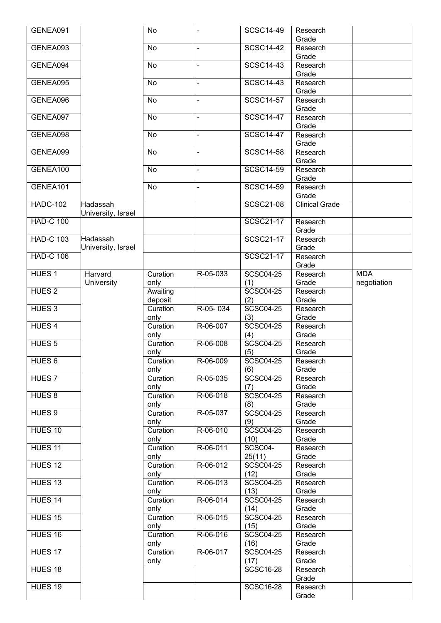| GENEA091          |                    | No               | $\blacksquare$ | <b>SCSC14-49</b>         | Research              |             |
|-------------------|--------------------|------------------|----------------|--------------------------|-----------------------|-------------|
|                   |                    |                  |                |                          | Grade                 |             |
| GENEA093          |                    | No               | $\blacksquare$ | <b>SCSC14-42</b>         | Research              |             |
|                   |                    |                  |                |                          | Grade                 |             |
| GENEA094          |                    | No               | $\sim$         | <b>SCSC14-43</b>         | Research              |             |
| GENEA095          |                    | No               | ÷,             | <b>SCSC14-43</b>         | Grade<br>Research     |             |
|                   |                    |                  |                |                          | Grade                 |             |
| GENEA096          |                    | No               | ÷,             | <b>SCSC14-57</b>         | Research              |             |
|                   |                    |                  |                |                          | Grade                 |             |
| GENEA097          |                    | No               | $\sim$         | <b>SCSC14-47</b>         | Research              |             |
|                   |                    |                  |                |                          | Grade                 |             |
| GENEA098          |                    | No               | $\blacksquare$ | <b>SCSC14-47</b>         | Research              |             |
|                   |                    |                  |                |                          | Grade                 |             |
| GENEA099          |                    | No               | $\blacksquare$ | <b>SCSC14-58</b>         | Research              |             |
|                   |                    |                  |                |                          | Grade                 |             |
| GENEA100          |                    | No               | $\blacksquare$ | <b>SCSC14-59</b>         | Research              |             |
|                   |                    |                  |                |                          | Grade                 |             |
| GENEA101          |                    | No               | $\blacksquare$ | <b>SCSC14-59</b>         | Research              |             |
|                   |                    |                  |                |                          | Grade                 |             |
| <b>HADC-102</b>   | Hadassah           |                  |                | <b>SCSC21-08</b>         | <b>Clinical Grade</b> |             |
| <b>HAD-C 100</b>  | University, Israel |                  |                | <b>SCSC21-17</b>         | Research              |             |
|                   |                    |                  |                |                          | Grade                 |             |
| <b>HAD-C 103</b>  | Hadassah           |                  |                | <b>SCSC21-17</b>         | Research              |             |
|                   | University, Israel |                  |                |                          | Grade                 |             |
| <b>HAD-C 106</b>  |                    |                  |                | <b>SCSC21-17</b>         | Research              |             |
|                   |                    |                  |                |                          | Grade                 |             |
| HUES <sub>1</sub> | Harvard            | Curation         | R-05-033       | <b>SCSC04-25</b>         | Research              | <b>MDA</b>  |
|                   | University         | only             |                | (1)                      | Grade                 | negotiation |
| HUES <sub>2</sub> |                    | Awaiting         |                | <b>SCSC04-25</b>         | Research              |             |
|                   |                    | deposit          |                | (2)                      | Grade                 |             |
| HUES <sub>3</sub> |                    | Curation         | R-05-034       | <b>SCSC04-25</b>         | Research              |             |
|                   |                    |                  |                |                          |                       |             |
|                   |                    | only             |                | (3)                      | Grade                 |             |
| HUES <sub>4</sub> |                    | Curation         | R-06-007       | <b>SCSC04-25</b>         | Research              |             |
|                   |                    | only             |                | (4)                      | Grade                 |             |
| HUES <sub>5</sub> |                    | Curation         | R-06-008       | <b>SCSC04-25</b>         | Research              |             |
|                   |                    | only             |                | (5)                      | Grade                 |             |
| HUES <sub>6</sub> |                    | Curation         | R-06-009       | <b>SCSC04-25</b>         | Research<br>Grade     |             |
| HUES <sub>7</sub> |                    | only<br>Curation | R-05-035       | (6)<br><b>SCSC04-25</b>  | Research              |             |
|                   |                    | only             |                | (7)                      | Grade                 |             |
| HUES 8            |                    | Curation         | R-06-018       | <b>SCSC04-25</b>         | Research              |             |
|                   |                    | only             |                | (8)                      | Grade                 |             |
| HUES <sub>9</sub> |                    | Curation         | R-05-037       | <b>SCSC04-25</b>         | Research              |             |
|                   |                    | only             |                | (9)                      | Grade                 |             |
| HUES 10           |                    | Curation         | R-06-010       | <b>SCSC04-25</b>         | Research              |             |
|                   |                    | only             |                | (10)                     | Grade                 |             |
| HUES 11           |                    | Curation         | R-06-011       | SCSC04-                  | Research              |             |
|                   |                    | only             |                | 25(11)                   | Grade                 |             |
| HUES 12           |                    | Curation         | R-06-012       | <b>SCSC04-25</b>         | Research              |             |
| HUES 13           |                    | only<br>Curation | R-06-013       | (12)<br><b>SCSC04-25</b> | Grade<br>Research     |             |
|                   |                    | only             |                | (13)                     | Grade                 |             |
| HUES 14           |                    | Curation         | R-06-014       | <b>SCSC04-25</b>         | Research              |             |
|                   |                    | only             |                | (14)                     | Grade                 |             |
| HUES 15           |                    | Curation         | R-06-015       | <b>SCSC04-25</b>         | Research              |             |
|                   |                    | only             |                | (15)                     | Grade                 |             |
| HUES 16           |                    | Curation         | R-06-016       | <b>SCSC04-25</b>         | Research              |             |
|                   |                    | only             |                | (16)                     | Grade                 |             |
| HUES 17           |                    | Curation         | R-06-017       | <b>SCSC04-25</b>         | Research              |             |
|                   |                    | only             |                | (17)                     | Grade                 |             |
| HUES 18           |                    |                  |                | <b>SCSC16-28</b>         | Research<br>Grade     |             |
| HUES 19           |                    |                  |                | <b>SCSC16-28</b>         | Research              |             |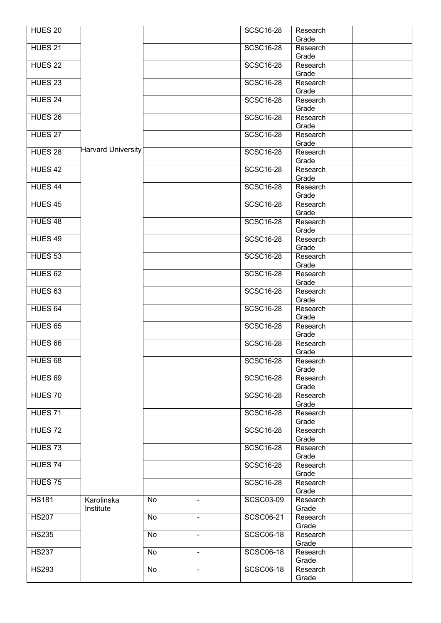| HUES <sub>20</sub> |                           |           |                | <b>SCSC16-28</b> | Research          |  |
|--------------------|---------------------------|-----------|----------------|------------------|-------------------|--|
| HUES <sub>21</sub> |                           |           |                | <b>SCSC16-28</b> | Grade<br>Research |  |
|                    |                           |           |                |                  | Grade             |  |
| HUES <sub>22</sub> |                           |           |                | <b>SCSC16-28</b> | Research<br>Grade |  |
| HUES <sub>23</sub> |                           |           |                | <b>SCSC16-28</b> | Research<br>Grade |  |
| HUES 24            |                           |           |                | <b>SCSC16-28</b> | Research<br>Grade |  |
| HUES <sub>26</sub> |                           |           |                | <b>SCSC16-28</b> | Research          |  |
|                    |                           |           |                |                  | Grade             |  |
| HUES 27            |                           |           |                | <b>SCSC16-28</b> | Research<br>Grade |  |
| HUES <sub>28</sub> | <b>Harvard University</b> |           |                | <b>SCSC16-28</b> | Research<br>Grade |  |
| HUES <sub>42</sub> |                           |           |                | <b>SCSC16-28</b> | Research<br>Grade |  |
| HUES44             |                           |           |                | <b>SCSC16-28</b> | Research<br>Grade |  |
| HUES <sub>45</sub> |                           |           |                | <b>SCSC16-28</b> | Research<br>Grade |  |
| HUES 48            |                           |           |                | <b>SCSC16-28</b> | Research<br>Grade |  |
| HUES 49            |                           |           |                | <b>SCSC16-28</b> | Research<br>Grade |  |
| HUES <sub>53</sub> |                           |           |                | <b>SCSC16-28</b> | Research<br>Grade |  |
| HUES <sub>62</sub> |                           |           |                | <b>SCSC16-28</b> | Research<br>Grade |  |
| HUES <sub>63</sub> |                           |           |                | <b>SCSC16-28</b> | Research          |  |
| HUES <sub>64</sub> |                           |           |                | <b>SCSC16-28</b> | Grade<br>Research |  |
| HUES <sub>65</sub> |                           |           |                | <b>SCSC16-28</b> | Grade<br>Research |  |
| HUES <sub>66</sub> |                           |           |                | <b>SCSC16-28</b> | Grade<br>Research |  |
| HUES <sub>68</sub> |                           |           |                | SCSC16-28        | Grade<br>Research |  |
| HUES <sub>69</sub> |                           |           |                | <b>SCSC16-28</b> | Grade<br>Research |  |
| HUES <sub>70</sub> |                           |           |                | <b>SCSC16-28</b> | Grade<br>Research |  |
| HUES <sub>71</sub> |                           |           |                | <b>SCSC16-28</b> | Grade<br>Research |  |
|                    |                           |           |                |                  | Grade             |  |
| HUES <sub>72</sub> |                           |           |                | <b>SCSC16-28</b> | Research<br>Grade |  |
| HUES <sub>73</sub> |                           |           |                | <b>SCSC16-28</b> | Research<br>Grade |  |
| HUES <sub>74</sub> |                           |           |                | <b>SCSC16-28</b> | Research<br>Grade |  |
| HUES <sub>75</sub> |                           |           |                | <b>SCSC16-28</b> | Research<br>Grade |  |
| <b>HS181</b>       | Karolinska<br>Institute   | No        | $\sim$         | <b>SCSC03-09</b> | Research<br>Grade |  |
| <b>HS207</b>       |                           | <b>No</b> | $\sim$         | <b>SCSC06-21</b> | Research<br>Grade |  |
| <b>HS235</b>       |                           | No        | $\blacksquare$ | <b>SCSC06-18</b> | Research<br>Grade |  |
| <b>HS237</b>       |                           | No        | $\blacksquare$ | <b>SCSC06-18</b> | Research<br>Grade |  |
| <b>HS293</b>       |                           | No        | $\blacksquare$ | <b>SCSC06-18</b> | Research<br>Grade |  |
|                    |                           |           |                |                  |                   |  |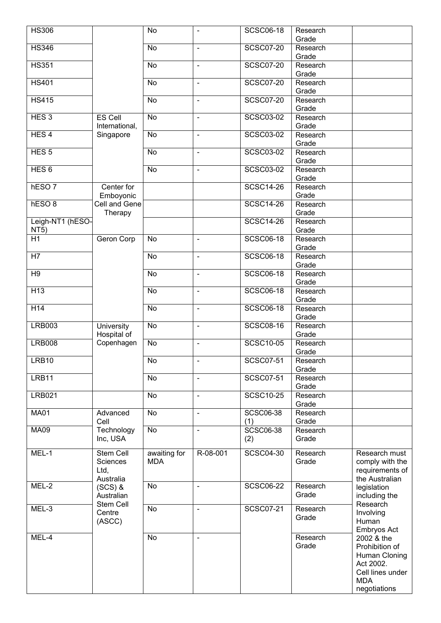| <b>HS306</b>      |                           | No              | $\blacksquare$           | <b>SCSC06-18</b>        | Research<br>Grade |                              |
|-------------------|---------------------------|-----------------|--------------------------|-------------------------|-------------------|------------------------------|
| <b>HS346</b>      |                           | <b>No</b>       | $\blacksquare$           | <b>SCSC07-20</b>        | Research          |                              |
|                   |                           |                 |                          |                         | Grade             |                              |
| <b>HS351</b>      |                           | <b>No</b>       | ÷,                       | <b>SCSC07-20</b>        | Research<br>Grade |                              |
| <b>HS401</b>      |                           | No              | $\blacksquare$           | <b>SCSC07-20</b>        | Research<br>Grade |                              |
| <b>HS415</b>      |                           | No              | $\blacksquare$           | <b>SCSC07-20</b>        | Research          |                              |
| HES <sub>3</sub>  | <b>ES Cell</b>            | $\overline{N}$  | $\blacksquare$           | <b>SCSC03-02</b>        | Grade<br>Research |                              |
|                   | International,            |                 |                          |                         | Grade             |                              |
| HES <sub>4</sub>  | Singapore                 | No              | $\blacksquare$           | SCSC03-02               | Research<br>Grade |                              |
| HES <sub>5</sub>  |                           | No              | $\blacksquare$           | SCSC03-02               | Research<br>Grade |                              |
| HES <sub>6</sub>  |                           | No              | $\blacksquare$           | <b>SCSC03-02</b>        | Research<br>Grade |                              |
| hESO <sub>7</sub> | Center for                |                 |                          | <b>SCSC14-26</b>        | Research          |                              |
|                   | Emboyonic                 |                 |                          |                         | Grade             |                              |
| hESO <sub>8</sub> | Cell and Gene<br>Therapy  |                 |                          | <b>SCSC14-26</b>        | Research<br>Grade |                              |
| Leigh-NT1 (hESO-  |                           |                 |                          | <b>SCSC14-26</b>        | Research          |                              |
| <b>NT5)</b>       |                           |                 |                          |                         | Grade             |                              |
| $\overline{H1}$   | Geron Corp                | No              |                          | <b>SCSC06-18</b>        | Research          |                              |
| H7                |                           | No              | ä,                       | <b>SCSC06-18</b>        | Grade<br>Research |                              |
|                   |                           |                 |                          |                         | Grade             |                              |
| $\overline{H9}$   |                           | No              | $\blacksquare$           | <b>SCSC06-18</b>        | Research          |                              |
|                   |                           |                 |                          |                         | Grade             |                              |
| $\overline{H13}$  |                           | No              | $\blacksquare$           | <b>SCSC06-18</b>        | Research          |                              |
| H <sub>14</sub>   |                           | $\overline{N}$  | $\blacksquare$           | <b>SCSC06-18</b>        | Grade<br>Research |                              |
|                   |                           |                 |                          |                         | Grade             |                              |
| <b>LRB003</b>     | University<br>Hospital of | No              | $\blacksquare$           | <b>SCSC08-16</b>        | Research<br>Grade |                              |
| <b>LRB008</b>     | Copenhagen                | No              | $\overline{\phantom{a}}$ | <b>SCSC10-05</b>        | Research<br>Grade |                              |
| LRB10             |                           | $\overline{No}$ | $\overline{\phantom{a}}$ | <b>SCSC07-51</b>        | Research          |                              |
| LRB11             |                           | No              | $\blacksquare$           | <b>SCSC07-51</b>        | Grade<br>Research |                              |
|                   |                           |                 |                          |                         | Grade             |                              |
| <b>LRB021</b>     |                           | No              | $\overline{\phantom{a}}$ | <b>SCSC10-25</b>        | Research<br>Grade |                              |
| <b>MA01</b>       | Advanced<br>Cell          | $\overline{N}$  | $\blacksquare$           | <b>SCSC06-38</b><br>(1) | Research<br>Grade |                              |
| <b>MA09</b>       | Technology                | No              | $\blacksquare$           | <b>SCSC06-38</b>        | Research          |                              |
|                   | Inc, USA                  |                 |                          | (2)                     | Grade             |                              |
| MEL-1             | Stem Cell                 | awaiting for    | R-08-001                 | <b>SCSC04-30</b>        | Research          | Research must                |
|                   | Sciences                  | <b>MDA</b>      |                          |                         | Grade             | comply with the              |
|                   | Ltd,                      |                 |                          |                         |                   | requirements of              |
| MEL-2             | Australia                 | No              | $\blacksquare$           | <b>SCSC06-22</b>        | Research          | the Australian               |
|                   | $(SCS)$ &<br>Australian   |                 |                          |                         | Grade             | legislation<br>including the |
| MEL-3             | Stem Cell                 | No              | $\blacksquare$           | <b>SCSC07-21</b>        | Research          | Research                     |
|                   | Centre<br>(ASCC)          |                 |                          |                         | Grade             | Involving<br>Human           |
| MEL-4             |                           | No              | $\blacksquare$           |                         | Research          | Embryos Act<br>2002 & the    |
|                   |                           |                 |                          |                         | Grade             | Prohibition of               |
|                   |                           |                 |                          |                         |                   | Human Cloning                |
|                   |                           |                 |                          |                         |                   | Act 2002.                    |
|                   |                           |                 |                          |                         |                   | Cell lines under             |
|                   |                           |                 |                          |                         |                   | <b>MDA</b><br>negotiations   |
|                   |                           |                 |                          |                         |                   |                              |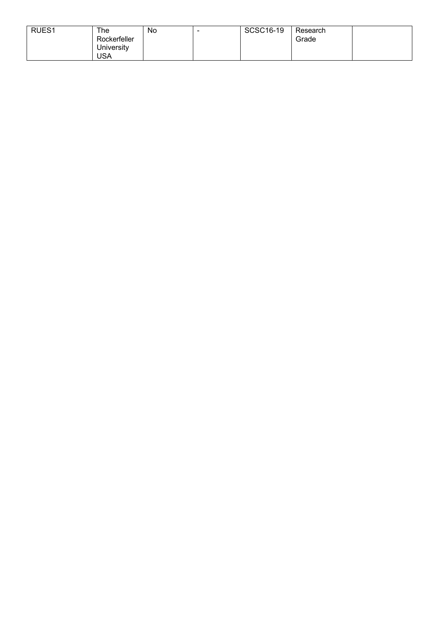| RUES <sub>1</sub> | The          | No | <b>SCSC16-19</b> | Research |  |
|-------------------|--------------|----|------------------|----------|--|
|                   | Rockerfeller |    |                  | Grade    |  |
|                   | University   |    |                  |          |  |
|                   | USA          |    |                  |          |  |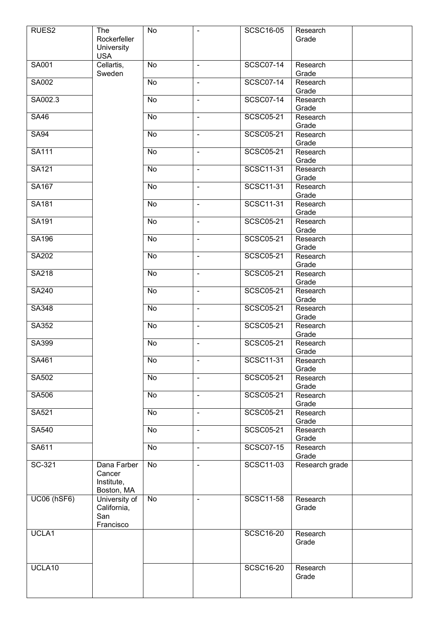| RUES2              | The<br>Rockerfeller<br>University                 | No             | $\blacksquare$           | <b>SCSC16-05</b> | Research<br>Grade |  |
|--------------------|---------------------------------------------------|----------------|--------------------------|------------------|-------------------|--|
|                    | <b>USA</b>                                        |                |                          |                  |                   |  |
| SA001              | Cellartis,<br>Sweden                              | No             | $\blacksquare$           | <b>SCSC07-14</b> | Research<br>Grade |  |
| <b>SA002</b>       |                                                   | No             | $\blacksquare$           | <b>SCSC07-14</b> | Research<br>Grade |  |
| SA002.3            |                                                   | $\overline{N}$ | $\overline{\phantom{a}}$ | <b>SCSC07-14</b> | Research<br>Grade |  |
| <b>SA46</b>        |                                                   | No             | $\blacksquare$           | <b>SCSC05-21</b> | Research<br>Grade |  |
| <b>SA94</b>        |                                                   | No             | $\blacksquare$           | <b>SCSC05-21</b> | Research<br>Grade |  |
| <b>SA111</b>       |                                                   | No             | $\blacksquare$           | <b>SCSC05-21</b> | Research<br>Grade |  |
| <b>SA121</b>       |                                                   | No             | $\blacksquare$           | <b>SCSC11-31</b> | Research<br>Grade |  |
| <b>SA167</b>       |                                                   | No             | $\blacksquare$           | <b>SCSC11-31</b> | Research<br>Grade |  |
| <b>SA181</b>       |                                                   | No             | $\blacksquare$           | <b>SCSC11-31</b> | Research<br>Grade |  |
| SA191              |                                                   | No             | $\blacksquare$           | <b>SCSC05-21</b> | Research<br>Grade |  |
| <b>SA196</b>       |                                                   | No             | $\blacksquare$           | <b>SCSC05-21</b> | Research<br>Grade |  |
| <b>SA202</b>       |                                                   | $\overline{N}$ | $\blacksquare$           | <b>SCSC05-21</b> | Research<br>Grade |  |
| <b>SA218</b>       |                                                   | No             | $\mathbf{r}$             | <b>SCSC05-21</b> | Research<br>Grade |  |
| <b>SA240</b>       |                                                   | No             | $\blacksquare$           | <b>SCSC05-21</b> | Research<br>Grade |  |
| SA348              |                                                   | No             | $\blacksquare$           | <b>SCSC05-21</b> | Research<br>Grade |  |
| SA352              |                                                   | No             | $\blacksquare$           | SCSC05-21        | Research<br>Grade |  |
| SA399              |                                                   | No             | $\blacksquare$           | <b>SCSC05-21</b> | Research<br>Grade |  |
| SA461              |                                                   | No             | $\blacksquare$           | <b>SCSC11-31</b> | Research<br>Grade |  |
| <b>SA502</b>       |                                                   | No             | $\blacksquare$           | <b>SCSC05-21</b> | Research<br>Grade |  |
| <b>SA506</b>       |                                                   | N <sub>o</sub> | $\blacksquare$           | <b>SCSC05-21</b> | Research<br>Grade |  |
| SA521              |                                                   | No             | $\blacksquare$           | <b>SCSC05-21</b> | Research<br>Grade |  |
| SA540              |                                                   | No             | $\blacksquare$           | <b>SCSC05-21</b> | Research<br>Grade |  |
| SA611              |                                                   | No             | $\blacksquare$           | <b>SCSC07-15</b> | Research<br>Grade |  |
| SC-321             | Dana Farber<br>Cancer<br>Institute,<br>Boston, MA | $\overline{N}$ | $\blacksquare$           | <b>SCSC11-03</b> | Research grade    |  |
| <b>UC06 (hSF6)</b> | University of<br>California,<br>San<br>Francisco  | No             | $\overline{\phantom{a}}$ | <b>SCSC11-58</b> | Research<br>Grade |  |
| UCLA1              |                                                   |                |                          | <b>SCSC16-20</b> | Research<br>Grade |  |
| UCLA10             |                                                   |                |                          | <b>SCSC16-20</b> | Research<br>Grade |  |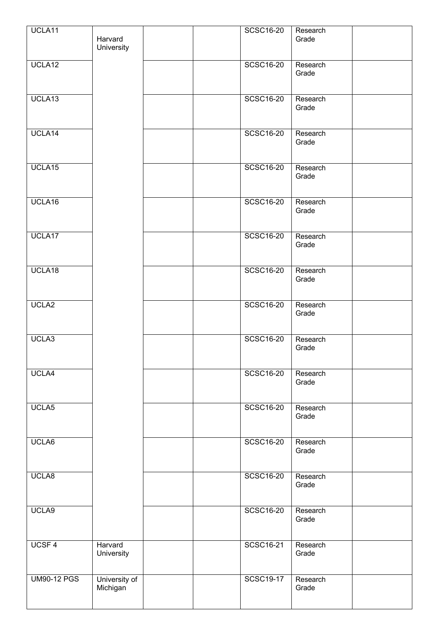| UCLA11             |                       |  | <b>SCSC16-20</b> | Research          |  |
|--------------------|-----------------------|--|------------------|-------------------|--|
|                    | Harvard<br>University |  |                  | Grade             |  |
|                    |                       |  |                  |                   |  |
| UCLA12             |                       |  | <b>SCSC16-20</b> | Research<br>Grade |  |
|                    |                       |  |                  |                   |  |
| UCLA13             |                       |  | <b>SCSC16-20</b> | Research          |  |
|                    |                       |  |                  | Grade             |  |
|                    |                       |  |                  |                   |  |
| UCLA14             |                       |  | <b>SCSC16-20</b> | Research          |  |
|                    |                       |  |                  | Grade             |  |
|                    |                       |  |                  |                   |  |
| UCLA15             |                       |  | <b>SCSC16-20</b> | Research          |  |
|                    |                       |  |                  | Grade             |  |
|                    |                       |  |                  |                   |  |
| UCLA16             |                       |  | <b>SCSC16-20</b> | Research          |  |
|                    |                       |  |                  | Grade             |  |
|                    |                       |  |                  |                   |  |
| UCLA17             |                       |  | <b>SCSC16-20</b> | Research<br>Grade |  |
|                    |                       |  |                  |                   |  |
| UCLA18             |                       |  | <b>SCSC16-20</b> | Research          |  |
|                    |                       |  |                  | Grade             |  |
|                    |                       |  |                  |                   |  |
| UCLA2              |                       |  | <b>SCSC16-20</b> | Research          |  |
|                    |                       |  |                  | Grade             |  |
|                    |                       |  |                  |                   |  |
| UCLA3              |                       |  | <b>SCSC16-20</b> | Research          |  |
|                    |                       |  |                  | Grade             |  |
|                    |                       |  |                  |                   |  |
| UCLA4              |                       |  | <b>SCSC16-20</b> | Research<br>Grade |  |
|                    |                       |  |                  |                   |  |
|                    |                       |  | <b>SCSC16-20</b> | Research          |  |
| UCLA5              |                       |  |                  | Grade             |  |
|                    |                       |  |                  |                   |  |
| UCLA6              |                       |  | <b>SCSC16-20</b> | Research          |  |
|                    |                       |  |                  | Grade             |  |
|                    |                       |  |                  |                   |  |
| UCLA8              |                       |  | <b>SCSC16-20</b> | Research          |  |
|                    |                       |  |                  | Grade             |  |
|                    |                       |  |                  |                   |  |
| UCLA9              |                       |  | <b>SCSC16-20</b> | Research          |  |
|                    |                       |  |                  | Grade             |  |
|                    |                       |  |                  |                   |  |
| UCSF <sub>4</sub>  | Harvard<br>University |  | <b>SCSC16-21</b> | Research<br>Grade |  |
|                    |                       |  |                  |                   |  |
| <b>UM90-12 PGS</b> | University of         |  | SCSC19-17        | Research          |  |
|                    | Michigan              |  |                  | Grade             |  |
|                    |                       |  |                  |                   |  |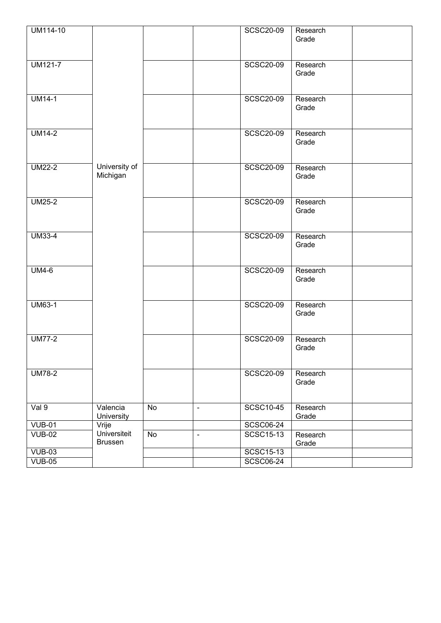| UM114-10       |                                |                |                | <b>SCSC20-09</b> | Research<br>Grade |  |
|----------------|--------------------------------|----------------|----------------|------------------|-------------------|--|
| <b>UM121-7</b> |                                |                |                | <b>SCSC20-09</b> | Research<br>Grade |  |
| $UM14-1$       |                                |                |                | SCSC20-09        | Research<br>Grade |  |
| <b>UM14-2</b>  |                                |                |                | <b>SCSC20-09</b> | Research<br>Grade |  |
| <b>UM22-2</b>  | University of<br>Michigan      |                |                | <b>SCSC20-09</b> | Research<br>Grade |  |
| <b>UM25-2</b>  |                                |                |                | <b>SCSC20-09</b> | Research<br>Grade |  |
| <b>UM33-4</b>  |                                |                |                | <b>SCSC20-09</b> | Research<br>Grade |  |
| <b>UM4-6</b>   |                                |                |                | <b>SCSC20-09</b> | Research<br>Grade |  |
| <b>UM63-1</b>  |                                |                |                | <b>SCSC20-09</b> | Research<br>Grade |  |
| <b>UM77-2</b>  |                                |                |                | <b>SCSC20-09</b> | Research<br>Grade |  |
| <b>UM78-2</b>  |                                |                |                | <b>SCSC20-09</b> | Research<br>Grade |  |
| Val 9          | Valencia<br>University         | $\overline{N}$ | $\blacksquare$ | <b>SCSC10-45</b> | Research<br>Grade |  |
| <b>VUB-01</b>  | Vrije                          |                |                | <b>SCSC06-24</b> |                   |  |
| <b>VUB-02</b>  | Universiteit<br><b>Brussen</b> | $\overline{N}$ | $\blacksquare$ | SCSC15-13        | Research<br>Grade |  |
| $VUB-03$       |                                |                |                | <b>SCSC15-13</b> |                   |  |
| $VUB-05$       |                                |                |                | <b>SCSC06-24</b> |                   |  |
|                |                                |                |                |                  |                   |  |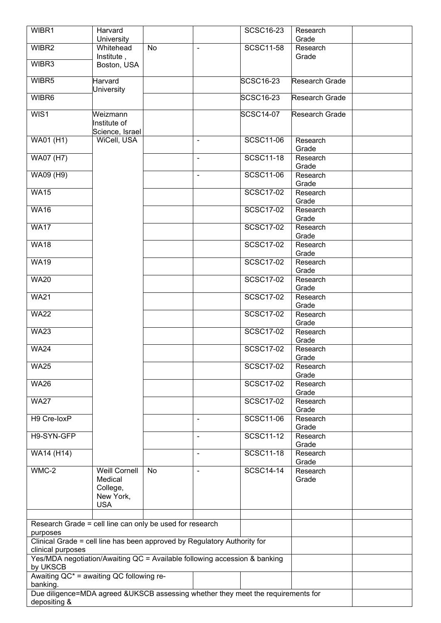| WIBR1                                                                            | Harvard                   |    |                | <b>SCSC16-23</b> | Research          |  |
|----------------------------------------------------------------------------------|---------------------------|----|----------------|------------------|-------------------|--|
|                                                                                  | University                |    |                |                  | Grade             |  |
| WIBR2                                                                            | Whitehead                 | No | $\blacksquare$ | <b>SCSC11-58</b> | Research          |  |
| WIBR3                                                                            | Institute,<br>Boston, USA |    |                |                  | Grade             |  |
|                                                                                  |                           |    |                |                  |                   |  |
| WIBR5                                                                            | Harvard                   |    |                | SCSC16-23        | Research Grade    |  |
|                                                                                  | <b>University</b>         |    |                |                  |                   |  |
| WIBR6                                                                            |                           |    |                | SCSC16-23        | Research Grade    |  |
|                                                                                  |                           |    |                |                  |                   |  |
| WIS1                                                                             | Weizmann<br>Institute of  |    |                | <b>SCSC14-07</b> | Research Grade    |  |
|                                                                                  | Science, Israel           |    |                |                  |                   |  |
| WA01 (H1)                                                                        | WiCell, USA               |    |                | <b>SCSC11-06</b> | Research          |  |
|                                                                                  |                           |    |                |                  | Grade             |  |
| <b>WA07 (H7)</b>                                                                 |                           |    | $\blacksquare$ | <b>SCSC11-18</b> | Research          |  |
|                                                                                  |                           |    |                |                  | Grade             |  |
| <b>WA09 (H9)</b>                                                                 |                           |    | $\mathbf{r}$   | <b>SCSC11-06</b> | Research          |  |
|                                                                                  |                           |    |                |                  | Grade             |  |
| <b>WA15</b>                                                                      |                           |    |                | <b>SCSC17-02</b> | Research          |  |
|                                                                                  |                           |    |                |                  | Grade             |  |
| <b>WA16</b>                                                                      |                           |    |                | <b>SCSC17-02</b> | Research          |  |
|                                                                                  |                           |    |                |                  | Grade             |  |
| <b>WA17</b>                                                                      |                           |    |                | <b>SCSC17-02</b> | Research          |  |
|                                                                                  |                           |    |                |                  | Grade             |  |
| <b>WA18</b>                                                                      |                           |    |                | SCSC17-02        | Research          |  |
|                                                                                  |                           |    |                |                  | Grade             |  |
| <b>WA19</b>                                                                      |                           |    |                | <b>SCSC17-02</b> | Research          |  |
|                                                                                  |                           |    |                |                  | Grade             |  |
| <b>WA20</b>                                                                      |                           |    |                | <b>SCSC17-02</b> | Research          |  |
|                                                                                  |                           |    |                | <b>SCSC17-02</b> | Grade             |  |
| <b>WA21</b>                                                                      |                           |    |                |                  | Research<br>Grade |  |
| <b>WA22</b>                                                                      |                           |    |                | <b>SCSC17-02</b> | Research          |  |
|                                                                                  |                           |    |                |                  | Grade             |  |
| <b>WA23</b>                                                                      |                           |    |                | <b>SCSC17-02</b> | Research          |  |
|                                                                                  |                           |    |                |                  | Grade             |  |
| <b>WA24</b>                                                                      |                           |    |                | <b>SCSC17-02</b> | Research          |  |
|                                                                                  |                           |    |                |                  | Grade             |  |
| <b>WA25</b>                                                                      |                           |    |                | <b>SCSC17-02</b> | Research          |  |
|                                                                                  |                           |    |                |                  | Grade             |  |
| <b>WA26</b>                                                                      |                           |    |                | <b>SCSC17-02</b> | Research          |  |
|                                                                                  |                           |    |                |                  | Grade             |  |
| <b>WA27</b>                                                                      |                           |    |                | <b>SCSC17-02</b> | Research          |  |
|                                                                                  |                           |    |                |                  | Grade             |  |
| H9 Cre-loxP                                                                      |                           |    | $\blacksquare$ | <b>SCSC11-06</b> | Research          |  |
|                                                                                  |                           |    |                |                  | Grade             |  |
| H9-SYN-GFP                                                                       |                           |    | $\blacksquare$ | SCSC11-12        | Research          |  |
|                                                                                  |                           |    |                | <b>SCSC11-18</b> | Grade             |  |
| WA14 (H14)                                                                       |                           |    | $\blacksquare$ |                  | Research<br>Grade |  |
| $WMC-2$                                                                          | <b>Weill Cornell</b>      | No | $\blacksquare$ | <b>SCSC14-14</b> | Research          |  |
|                                                                                  | Medical                   |    |                |                  | Grade             |  |
|                                                                                  | College,                  |    |                |                  |                   |  |
|                                                                                  | New York,                 |    |                |                  |                   |  |
|                                                                                  | <b>USA</b>                |    |                |                  |                   |  |
|                                                                                  |                           |    |                |                  |                   |  |
| Research Grade = cell line can only be used for research                         |                           |    |                |                  |                   |  |
| purposes                                                                         |                           |    |                |                  |                   |  |
| Clinical Grade = cell line has been approved by Regulatory Authority for         |                           |    |                |                  |                   |  |
| clinical purposes                                                                |                           |    |                |                  |                   |  |
| Yes/MDA negotiation/Awaiting QC = Available following accession & banking        |                           |    |                |                  |                   |  |
| by UKSCB                                                                         |                           |    |                |                  |                   |  |
| Awaiting QC* = awaiting QC following re-                                         |                           |    |                |                  |                   |  |
| banking.                                                                         |                           |    |                |                  |                   |  |
| Due diligence=MDA agreed &UKSCB assessing whether they meet the requirements for |                           |    |                |                  |                   |  |
| depositing &                                                                     |                           |    |                |                  |                   |  |